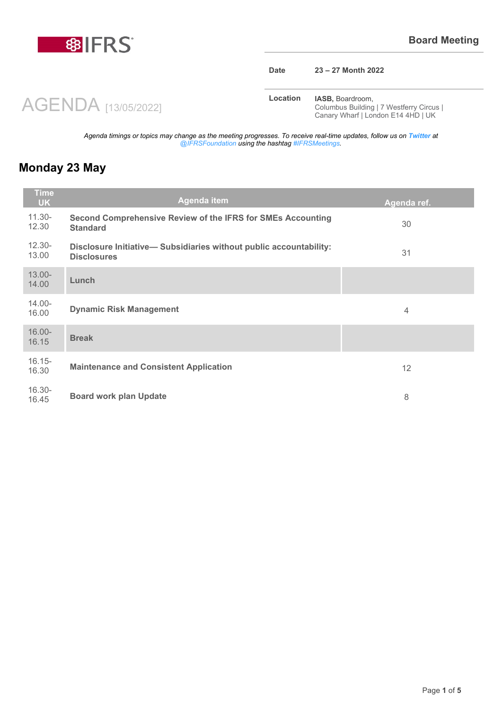

#### **Date 23 – 27 Month 2022**

**Location <b>IASB**, Boardroom, Columbus Building | 7 Westferry Circus | Canary Wharf | London E14 4HD | UK

*Agenda timings or topics may change as the meeting progresses. To receive real-time updates, follow us on Twitter at @IFRSFoundation using the hashtag #IFRSMeetings.*

### **Monday 23 May**

| <b>Time</b><br>UK. | Agenda item                                                                             | Agenda ref.    |
|--------------------|-----------------------------------------------------------------------------------------|----------------|
| $11.30 -$<br>12.30 | Second Comprehensive Review of the IFRS for SMEs Accounting<br><b>Standard</b>          | 30             |
| $12.30 -$<br>13.00 | Disclosure Initiative-Subsidiaries without public accountability:<br><b>Disclosures</b> | 31             |
| $13.00 -$<br>14.00 | Lunch                                                                                   |                |
| $14.00 -$<br>16.00 | <b>Dynamic Risk Management</b>                                                          | $\overline{4}$ |
| $16.00 -$<br>16.15 | <b>Break</b>                                                                            |                |
| $16.15 -$<br>16.30 | <b>Maintenance and Consistent Application</b>                                           | 12             |
| $16.30 -$<br>16.45 | <b>Board work plan Update</b>                                                           | 8              |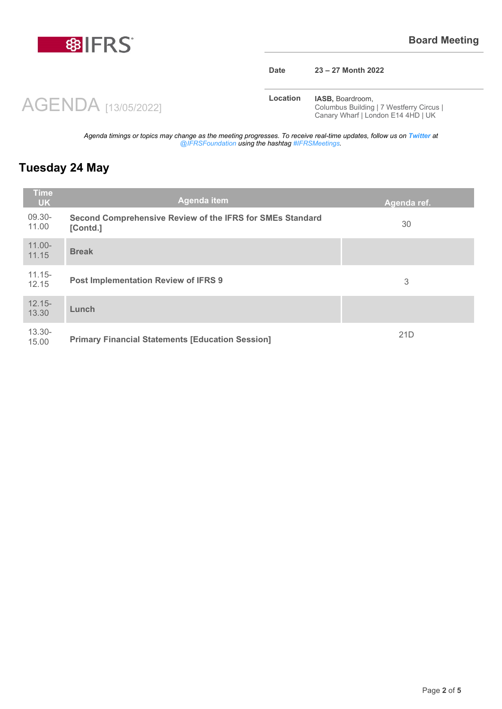

#### **Date 23 – 27 Month 2022**

**Location <b>IASB**, Boardroom, Columbus Building | 7 Westferry Circus | Canary Wharf | London E14 4HD | UK

*Agenda timings or topics may change as the meeting progresses. To receive real-time updates, follow us on Twitter at @IFRSFoundation using the hashtag #IFRSMeetings.*

### **Tuesday 24 May**

| <b>Time</b><br><b>UK</b> | Agenda item                                                           | Agenda ref. |
|--------------------------|-----------------------------------------------------------------------|-------------|
| 09.30-<br>11.00          | Second Comprehensive Review of the IFRS for SMEs Standard<br>[Contd.] | 30          |
| $11.00 -$<br>11.15       | <b>Break</b>                                                          |             |
| $11.15 -$<br>12.15       | Post Implementation Review of IFRS 9                                  | 3           |
| $12.15 -$<br>13.30       | Lunch                                                                 |             |
| $13.30 -$<br>15.00       | <b>Primary Financial Statements [Education Session]</b>               | 21D         |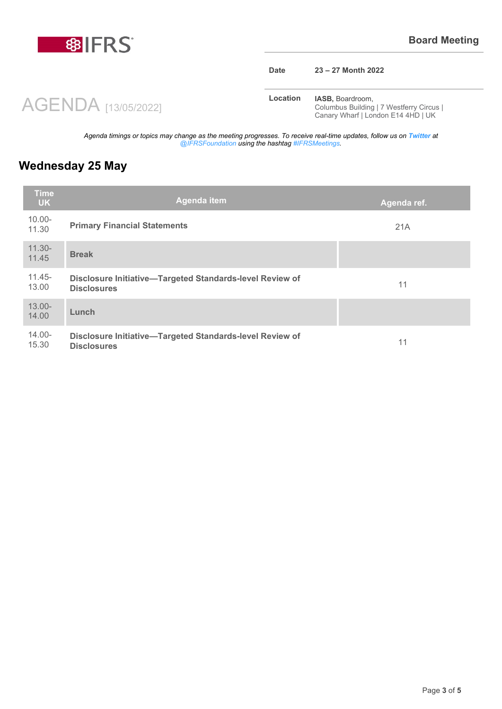

### **Date 23 – 27 Month 2022**

**Location <b>IASB**, Boardroom, Columbus Building | 7 Westferry Circus | Canary Wharf | London E14 4HD | UK

*Agenda timings or topics may change as the meeting progresses. To receive real-time updates, follow us on Twitter at @IFRSFoundation using the hashtag #IFRSMeetings.*

# **Wednesday 25 May**

| <b>Time</b><br><b>UK</b> | Agenda item                                                                    | Agenda ref. |
|--------------------------|--------------------------------------------------------------------------------|-------------|
| $10.00 -$<br>11.30       | <b>Primary Financial Statements</b>                                            | 21A         |
| $11.30 -$<br>11.45       | <b>Break</b>                                                                   |             |
| $11.45 -$<br>13.00       | Disclosure Initiative-Targeted Standards-level Review of<br><b>Disclosures</b> | 11          |
| $13.00 -$<br>14.00       | Lunch                                                                          |             |
| $14.00 -$<br>15.30       | Disclosure Initiative-Targeted Standards-level Review of<br><b>Disclosures</b> | 11          |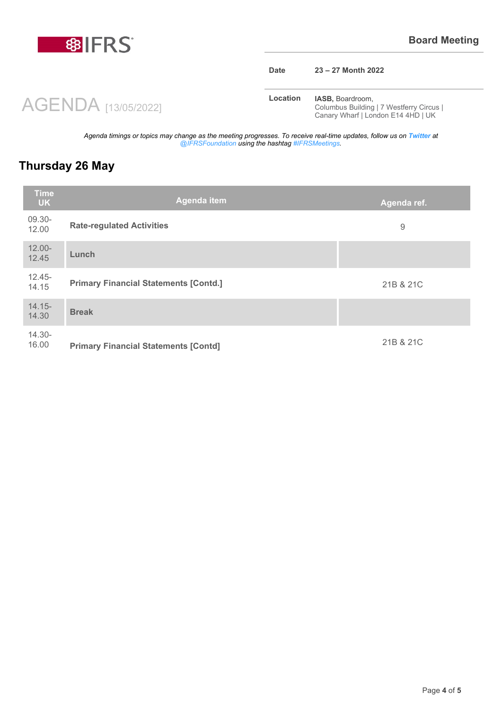

### **Date 23 – 27 Month 2022**

**Location <b>IASB**, Boardroom, Columbus Building | 7 Westferry Circus | Canary Wharf | London E14 4HD | UK

*Agenda timings or topics may change as the meeting progresses. To receive real-time updates, follow us on Twitter at @IFRSFoundation using the hashtag #IFRSMeetings.*

# **Thursday 26 May**

| <b>Time</b><br><b>UK</b> | <b>Agenda item</b>                           | Agenda ref. |
|--------------------------|----------------------------------------------|-------------|
| 09.30-<br>12.00          | <b>Rate-regulated Activities</b>             | 9           |
| $12.00 -$<br>12.45       | Lunch                                        |             |
| $12.45 -$<br>14.15       | <b>Primary Financial Statements [Contd.]</b> | 21B & 21C   |
| $14.15 -$<br>14.30       | <b>Break</b>                                 |             |
| $14.30 -$<br>16.00       | <b>Primary Financial Statements [Contd]</b>  | 21B & 21C   |